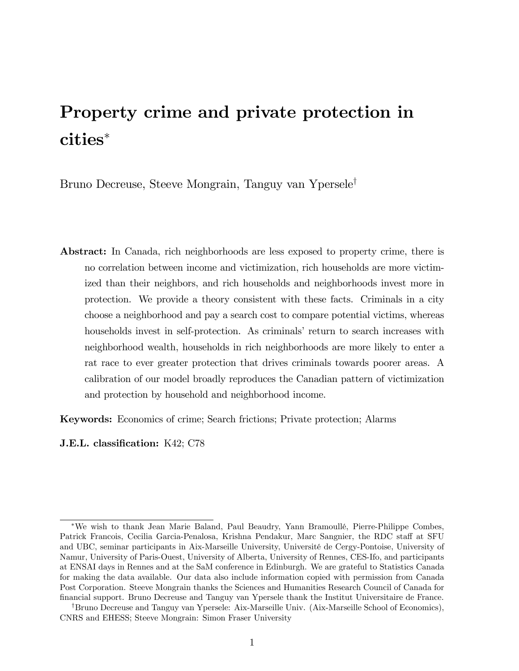# Property crime and private protection in cities

Bruno Decreuse, Steeve Mongrain, Tanguy van Ypersele<sup>†</sup>

Abstract: In Canada, rich neighborhoods are less exposed to property crime, there is no correlation between income and victimization, rich households are more victimized than their neighbors, and rich households and neighborhoods invest more in protection. We provide a theory consistent with these facts. Criminals in a city choose a neighborhood and pay a search cost to compare potential victims, whereas households invest in self-protection. As criminals' return to search increases with neighborhood wealth, households in rich neighborhoods are more likely to enter a rat race to ever greater protection that drives criminals towards poorer areas. A calibration of our model broadly reproduces the Canadian pattern of victimization and protection by household and neighborhood income.

Keywords: Economics of crime; Search frictions; Private protection; Alarms

J.E.L. classification: K42; C78

We wish to thank Jean Marie Baland, Paul Beaudry, Yann BramoullÈ, Pierre-Philippe Combes, Patrick Francois, Cecilia Garcia-Penalosa, Krishna Pendakur, Marc Sangnier, the RDC staff at SFU and UBC, seminar participants in Aix-Marseille University, Université de Cergy-Pontoise, University of Namur, University of Paris-Ouest, University of Alberta, University of Rennes, CES-Ifo, and participants at ENSAI days in Rennes and at the SaM conference in Edinburgh. We are grateful to Statistics Canada for making the data available. Our data also include information copied with permission from Canada Post Corporation. Steeve Mongrain thanks the Sciences and Humanities Research Council of Canada for Önancial support. Bruno Decreuse and Tanguy van Ypersele thank the Institut Universitaire de France.

<sup>&</sup>lt;sup>†</sup>Bruno Decreuse and Tanguy van Ypersele: Aix-Marseille Univ. (Aix-Marseille School of Economics), CNRS and EHESS; Steeve Mongrain: Simon Fraser University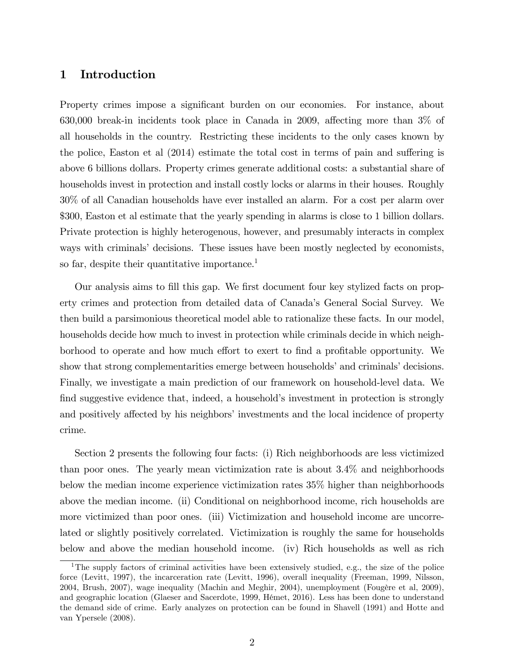# 1 Introduction

Property crimes impose a significant burden on our economies. For instance, about 630,000 break-in incidents took place in Canada in 2009, affecting more than  $3\%$  of all households in the country. Restricting these incidents to the only cases known by the police, Easton et al  $(2014)$  estimate the total cost in terms of pain and suffering is above 6 billions dollars. Property crimes generate additional costs: a substantial share of households invest in protection and install costly locks or alarms in their houses. Roughly 30% of all Canadian households have ever installed an alarm. For a cost per alarm over \$300, Easton et al estimate that the yearly spending in alarms is close to 1 billion dollars. Private protection is highly heterogenous, however, and presumably interacts in complex ways with criminals decisions. These issues have been mostly neglected by economists, so far, despite their quantitative importance.<sup>1</sup>

Our analysis aims to fill this gap. We first document four key stylized facts on property crimes and protection from detailed data of Canadaís General Social Survey. We then build a parsimonious theoretical model able to rationalize these facts. In our model, households decide how much to invest in protection while criminals decide in which neighborhood to operate and how much effort to exert to find a profitable opportunity. We show that strong complementarities emerge between households' and criminals' decisions. Finally, we investigate a main prediction of our framework on household-level data. We find suggestive evidence that, indeed, a household's investment in protection is strongly and positively affected by his neighbors' investments and the local incidence of property crime.

Section 2 presents the following four facts: (i) Rich neighborhoods are less victimized than poor ones. The yearly mean victimization rate is about 3.4% and neighborhoods below the median income experience victimization rates 35% higher than neighborhoods above the median income. (ii) Conditional on neighborhood income, rich households are more victimized than poor ones. (iii) Victimization and household income are uncorrelated or slightly positively correlated. Victimization is roughly the same for households below and above the median household income. (iv) Rich households as well as rich

<sup>&</sup>lt;sup>1</sup>The supply factors of criminal activities have been extensively studied, e.g., the size of the police force (Levitt, 1997), the incarceration rate (Levitt, 1996), overall inequality (Freeman, 1999, Nilsson, 2004, Brush, 2007), wage inequality (Machin and Meghir, 2004), unemployment (Fougère et al, 2009), and geographic location (Glaeser and Sacerdote, 1999, Hémet, 2016). Less has been done to understand the demand side of crime. Early analyzes on protection can be found in Shavell (1991) and Hotte and van Ypersele (2008).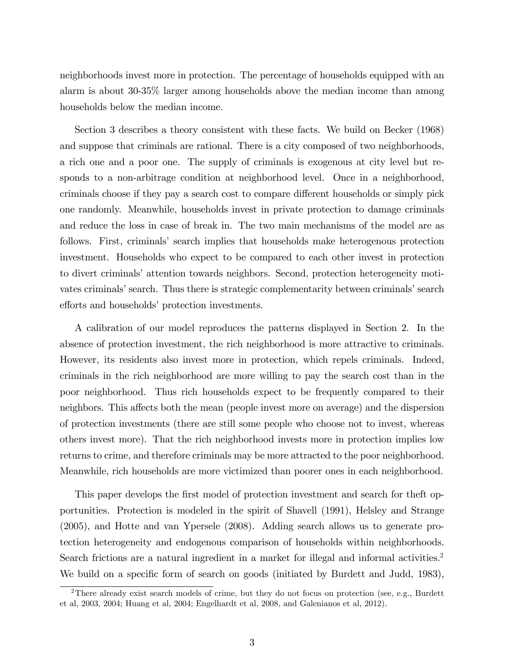neighborhoods invest more in protection. The percentage of households equipped with an alarm is about 30-35% larger among households above the median income than among households below the median income.

Section 3 describes a theory consistent with these facts. We build on Becker (1968) and suppose that criminals are rational. There is a city composed of two neighborhoods, a rich one and a poor one. The supply of criminals is exogenous at city level but responds to a non-arbitrage condition at neighborhood level. Once in a neighborhood, criminals choose if they pay a search cost to compare different households or simply pick one randomly. Meanwhile, households invest in private protection to damage criminals and reduce the loss in case of break in. The two main mechanisms of the model are as follows. First, criminalsí search implies that households make heterogenous protection investment. Households who expect to be compared to each other invest in protection to divert criminals' attention towards neighbors. Second, protection heterogeneity motivates criminals' search. Thus there is strategic complementarity between criminals' search efforts and households' protection investments.

A calibration of our model reproduces the patterns displayed in Section 2. In the absence of protection investment, the rich neighborhood is more attractive to criminals. However, its residents also invest more in protection, which repels criminals. Indeed, criminals in the rich neighborhood are more willing to pay the search cost than in the poor neighborhood. Thus rich households expect to be frequently compared to their neighbors. This affects both the mean (people invest more on average) and the dispersion of protection investments (there are still some people who choose not to invest, whereas others invest more). That the rich neighborhood invests more in protection implies low returns to crime, and therefore criminals may be more attracted to the poor neighborhood. Meanwhile, rich households are more victimized than poorer ones in each neighborhood.

This paper develops the first model of protection investment and search for the ft opportunities. Protection is modeled in the spirit of Shavell (1991), Helsley and Strange (2005), and Hotte and van Ypersele (2008). Adding search allows us to generate protection heterogeneity and endogenous comparison of households within neighborhoods. Search frictions are a natural ingredient in a market for illegal and informal activities.<sup>2</sup> We build on a specific form of search on goods (initiated by Burdett and Judd, 1983),

<sup>&</sup>lt;sup>2</sup>There already exist search models of crime, but they do not focus on protection (see, e.g., Burdett et al, 2003, 2004; Huang et al, 2004; Engelhardt et al, 2008, and Galenianos et al, 2012).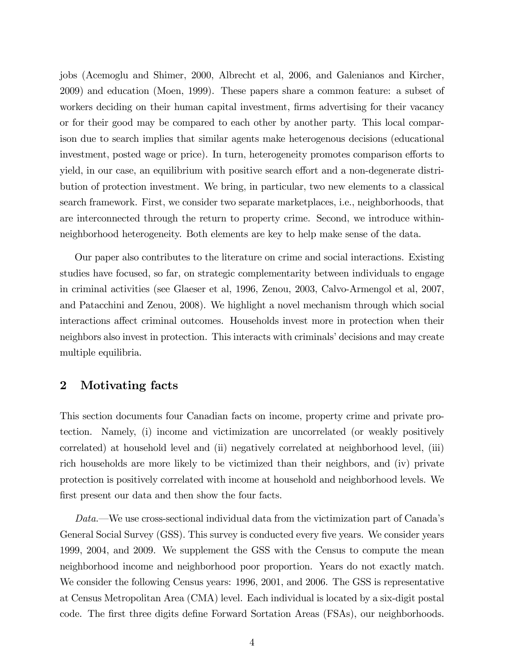jobs (Acemoglu and Shimer, 2000, Albrecht et al, 2006, and Galenianos and Kircher, 2009) and education (Moen, 1999). These papers share a common feature: a subset of workers deciding on their human capital investment, firms advertising for their vacancy or for their good may be compared to each other by another party. This local comparison due to search implies that similar agents make heterogenous decisions (educational investment, posted wage or price). In turn, heterogeneity promotes comparison efforts to yield, in our case, an equilibrium with positive search effort and a non-degenerate distribution of protection investment. We bring, in particular, two new elements to a classical search framework. First, we consider two separate marketplaces, i.e., neighborhoods, that are interconnected through the return to property crime. Second, we introduce withinneighborhood heterogeneity. Both elements are key to help make sense of the data.

Our paper also contributes to the literature on crime and social interactions. Existing studies have focused, so far, on strategic complementarity between individuals to engage in criminal activities (see Glaeser et al, 1996, Zenou, 2003, Calvo-Armengol et al, 2007, and Patacchini and Zenou, 2008). We highlight a novel mechanism through which social interactions affect criminal outcomes. Households invest more in protection when their neighbors also invest in protection. This interacts with criminals' decisions and may create multiple equilibria.

# 2 Motivating facts

This section documents four Canadian facts on income, property crime and private protection. Namely, (i) income and victimization are uncorrelated (or weakly positively correlated) at household level and (ii) negatively correlated at neighborhood level, (iii) rich households are more likely to be victimized than their neighbors, and (iv) private protection is positively correlated with income at household and neighborhood levels. We first present our data and then show the four facts.

 $Data$ —We use cross-sectional individual data from the victimization part of Canada's General Social Survey (GSS). This survey is conducted every five years. We consider years 1999, 2004, and 2009. We supplement the GSS with the Census to compute the mean neighborhood income and neighborhood poor proportion. Years do not exactly match. We consider the following Census years: 1996, 2001, and 2006. The GSS is representative at Census Metropolitan Area (CMA) level. Each individual is located by a six-digit postal code. The first three digits define Forward Sortation Areas (FSAs), our neighborhoods.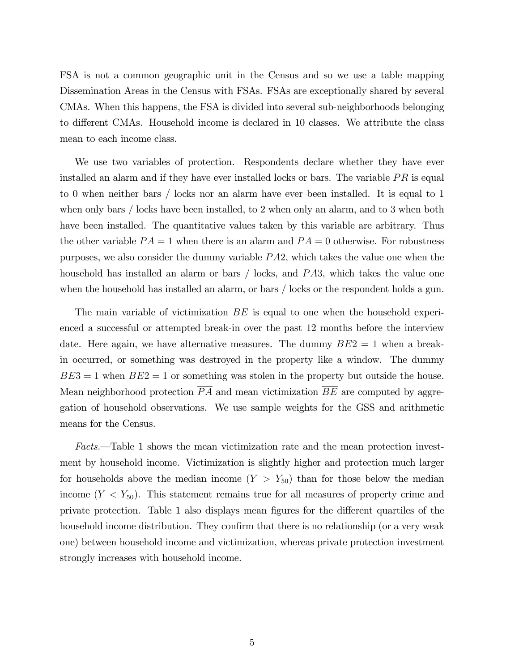FSA is not a common geographic unit in the Census and so we use a table mapping Dissemination Areas in the Census with FSAs. FSAs are exceptionally shared by several CMAs. When this happens, the FSA is divided into several sub-neighborhoods belonging to different CMAs. Household income is declared in 10 classes. We attribute the class mean to each income class.

We use two variables of protection. Respondents declare whether they have ever installed an alarm and if they have ever installed locks or bars. The variable  $PR$  is equal to 0 when neither bars / locks nor an alarm have ever been installed. It is equal to 1 when only bars / locks have been installed, to 2 when only an alarm, and to 3 when both have been installed. The quantitative values taken by this variable are arbitrary. Thus the other variable  $PA = 1$  when there is an alarm and  $PA = 0$  otherwise. For robustness purposes, we also consider the dummy variable  $PA2$ , which takes the value one when the household has installed an alarm or bars  $/$  locks, and  $PA3$ , which takes the value one when the household has installed an alarm, or bars / locks or the respondent holds a gun.

The main variable of victimization BE is equal to one when the household experienced a successful or attempted break-in over the past 12 months before the interview date. Here again, we have alternative measures. The dummy  $BE2 = 1$  when a breakin occurred, or something was destroyed in the property like a window. The dummy  $BE3 = 1$  when  $BE2 = 1$  or something was stolen in the property but outside the house. Mean neighborhood protection  $PA$  and mean victimization  $BE$  are computed by aggregation of household observations. We use sample weights for the GSS and arithmetic means for the Census.

Facts.—Table 1 shows the mean victimization rate and the mean protection investment by household income. Victimization is slightly higher and protection much larger for households above the median income  $(Y > Y_{50})$  than for those below the median income  $(Y < Y_{50})$ . This statement remains true for all measures of property crime and private protection. Table 1 also displays mean figures for the different quartiles of the household income distribution. They confirm that there is no relationship (or a very weak one) between household income and victimization, whereas private protection investment strongly increases with household income.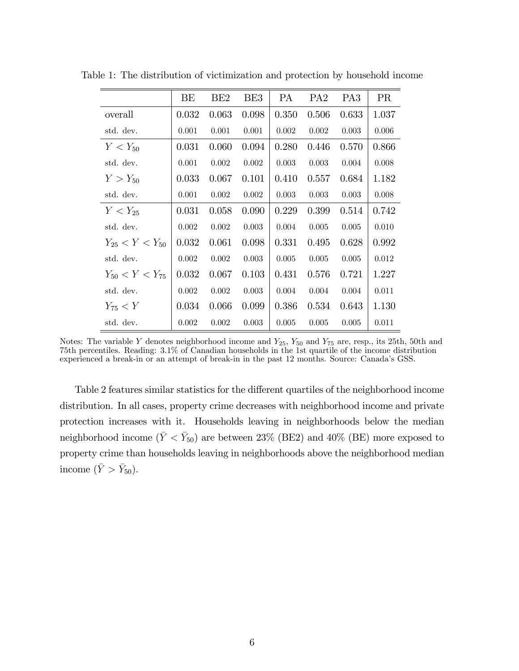|                       | BE    | BE <sub>2</sub> | BE3   | <b>PA</b> | PA <sub>2</sub> | PA <sub>3</sub> | <b>PR</b> |
|-----------------------|-------|-----------------|-------|-----------|-----------------|-----------------|-----------|
| overall               | 0.032 | 0.063           | 0.098 | 0.350     | 0.506           | 0.633           | 1.037     |
| std. dev.             | 0.001 | 0.001           | 0.001 | 0.002     | 0.002           | 0.003           | 0.006     |
| $Y < Y_{50}$          | 0.031 | 0.060           | 0.094 | 0.280     | 0.446           | 0.570           | 0.866     |
| std. dev.             | 0.001 | 0.002           | 0.002 | 0.003     | 0.003           | 0.004           | 0.008     |
| $Y > Y_{50}$          | 0.033 | 0.067           | 0.101 | 0.410     | 0.557           | 0.684           | 1.182     |
| std. dev.             | 0.001 | 0.002           | 0.002 | 0.003     | 0.003           | 0.003           | 0.008     |
| $Y < Y_{25}$          | 0.031 | 0.058           | 0.090 | 0.229     | 0.399           | 0.514           | 0.742     |
| std. dev.             | 0.002 | 0.002           | 0.003 | 0.004     | 0.005           | 0.005           | 0.010     |
| $Y_{25} < Y < Y_{50}$ | 0.032 | 0.061           | 0.098 | 0.331     | 0.495           | 0.628           | 0.992     |
| std. dev.             | 0.002 | 0.002           | 0.003 | 0.005     | 0.005           | 0.005           | 0.012     |
| $Y_{50} < Y < Y_{75}$ | 0.032 | 0.067           | 0.103 | 0.431     | 0.576           | 0.721           | 1.227     |
| std. dev.             | 0.002 | 0.002           | 0.003 | 0.004     | 0.004           | 0.004           | 0.011     |
| $Y_{75} < Y$          | 0.034 | 0.066           | 0.099 | 0.386     | 0.534           | 0.643           | 1.130     |
| std. dev.             | 0.002 | 0.002           | 0.003 | 0.005     | 0.005           | 0.005           | 0.011     |

Table 1: The distribution of victimization and protection by household income

Table 2 features similar statistics for the different quartiles of the neighborhood income distribution. In all cases, property crime decreases with neighborhood income and private protection increases with it. Households leaving in neighborhoods below the median neighborhood income  $(\bar{Y} < \bar{Y}_{50})$  are between 23% (BE2) and 40% (BE) more exposed to property crime than households leaving in neighborhoods above the neighborhood median income  $(\bar{Y} > \bar{Y}_{50}).$ 

Notes: The variable Y denotes neighborhood income and  $Y_{25}$ ,  $Y_{50}$  and  $Y_{75}$  are, resp., its 25th, 50th and 75th percentiles. Reading: 3.1% of Canadian households in the 1st quartile of the income distribution experienced a break-in or an attempt of break-in in the past 12 months. Source: Canadaís GSS.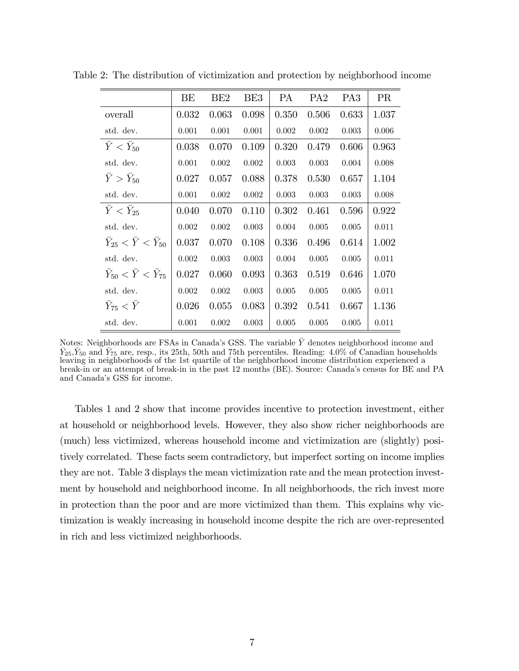|                                         | BE    | BE <sub>2</sub> | BE3   | <b>PA</b> | PA <sub>2</sub> | PA <sub>3</sub> | <b>PR</b> |
|-----------------------------------------|-------|-----------------|-------|-----------|-----------------|-----------------|-----------|
| overall                                 | 0.032 | 0.063           | 0.098 | 0.350     | 0.506           | 0.633           | 1.037     |
| std. dev.                               | 0.001 | 0.001           | 0.001 | 0.002     | 0.002           | 0.003           | 0.006     |
| $\bar{Y} < \bar{Y}_{50}$                | 0.038 | 0.070           | 0.109 | 0.320     | 0.479           | 0.606           | 0.963     |
| std. dev.                               | 0.001 | 0.002           | 0.002 | 0.003     | 0.003           | 0.004           | 0.008     |
| $\bar{Y} > \bar{Y}_{50}$                | 0.027 | 0.057           | 0.088 | 0.378     | 0.530           | 0.657           | 1.104     |
| std. dev.                               | 0.001 | 0.002           | 0.002 | 0.003     | 0.003           | 0.003           | 0.008     |
| $\bar{Y} < \bar{Y}_{25}$                | 0.040 | 0.070           | 0.110 | 0.302     | 0.461           | 0.596           | 0.922     |
| std. dev.                               | 0.002 | 0.002           | 0.003 | 0.004     | 0.005           | 0.005           | 0.011     |
| $\bar Y_{25} < \bar Y < \bar Y_{50}$    | 0.037 | 0.070           | 0.108 | 0.336     | 0.496           | 0.614           | 1.002     |
| std. dev.                               | 0.002 | 0.003           | 0.003 | 0.004     | 0.005           | 0.005           | 0.011     |
| $\bar{Y}_{50} < \bar{Y} < \bar{Y}_{75}$ | 0.027 | 0.060           | 0.093 | 0.363     | 0.519           | 0.646           | 1.070     |
| std. dev.                               | 0.002 | 0.002           | 0.003 | 0.005     | 0.005           | 0.005           | 0.011     |
| $\bar Y_{75} < \bar Y$                  | 0.026 | 0.055           | 0.083 | 0.392     | 0.541           | 0.667           | 1.136     |
| std. dev.                               | 0.001 | 0.002           | 0.003 | 0.005     | 0.005           | 0.005           | 0.011     |

Table 2: The distribution of victimization and protection by neighborhood income

Notes: Neighborhoods are FSAs in Canada's GSS. The variable  $\bar{Y}$  denotes neighborhood income and  $\bar{Y}_{25}, \bar{Y}_{50}$  and  $\bar{Y}_{75}$  are, resp., its 25th, 50th and 75th percentiles. Reading: 4.0% of Canadian households leaving in neighborhoods of the 1st quartile of the neighborhood income distribution experienced a break-in or an attempt of break-in in the past 12 months (BE). Source: Canada's census for BE and PA and Canada's GSS for income.

Tables 1 and 2 show that income provides incentive to protection investment, either at household or neighborhood levels. However, they also show richer neighborhoods are (much) less victimized, whereas household income and victimization are (slightly) positively correlated. These facts seem contradictory, but imperfect sorting on income implies they are not. Table 3 displays the mean victimization rate and the mean protection investment by household and neighborhood income. In all neighborhoods, the rich invest more in protection than the poor and are more victimized than them. This explains why victimization is weakly increasing in household income despite the rich are over-represented in rich and less victimized neighborhoods.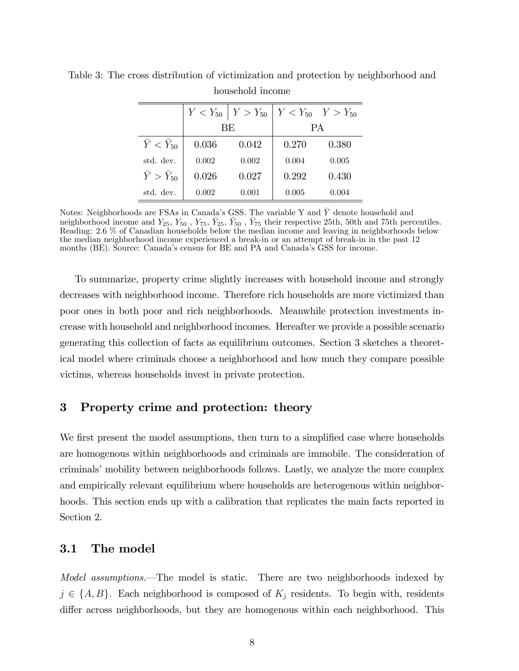|                          |       | $Y < Y_{50}$   $Y > Y_{50}$ | $Y < Y_{50}$ $Y > Y_{50}$ |       |  |  |
|--------------------------|-------|-----------------------------|---------------------------|-------|--|--|
|                          |       | BE                          | <b>PA</b>                 |       |  |  |
| $Y < Y_{50}$             | 0.036 | 0.042                       | 0.270                     | 0.380 |  |  |
| std. dev.                | 0.002 | 0.002                       | 0.004                     | 0.005 |  |  |
| $\bar{Y} > \bar{Y}_{50}$ | 0.026 | 0.027                       | 0.292                     | 0.430 |  |  |
| std. dev.                | 0.002 | 0.001                       | 0.005                     | 0.004 |  |  |

Table 3: The cross distribution of victimization and protection by neighborhood and household income

Notes: Neighborhoods are FSAs in Canadaís GSS. The variable Y and Y denote household and neighborhood income and  $Y_{25}$ ,  $Y_{50}$ ,  $Y_{75}$ ,  $\bar{Y}_{25}$ ,  $\bar{Y}_{50}$ ,  $\bar{Y}_{75}$  their respective 25th, 50th and 75th percentiles. Reading: 2.6 % of Canadian households below the median income and leaving in neighborhoods below the median neighborhood income experienced a break-in or an attempt of break-in in the past 12 months (BE). Source: Canada's census for BE and PA and Canada's GSS for income.

To summarize, property crime slightly increases with household income and strongly decreases with neighborhood income. Therefore rich households are more victimized than poor ones in both poor and rich neighborhoods. Meanwhile protection investments increase with household and neighborhood incomes. Hereafter we provide a possible scenario generating this collection of facts as equilibrium outcomes. Section 3 sketches a theoretical model where criminals choose a neighborhood and how much they compare possible victims, whereas households invest in private protection.

## 3 Property crime and protection: theory

We first present the model assumptions, then turn to a simplified case where households are homogenous within neighborhoods and criminals are immobile. The consideration of criminals' mobility between neighborhoods follows. Lastly, we analyze the more complex and empirically relevant equilibrium where households are heterogenous within neighborhoods. This section ends up with a calibration that replicates the main facts reported in Section 2.

#### 3.1 The model

Model assumptions.—The model is static. There are two neighborhoods indexed by  $j \in \{A, B\}$ . Each neighborhood is composed of  $K_j$  residents. To begin with, residents differ across neighborhoods, but they are homogenous within each neighborhood. This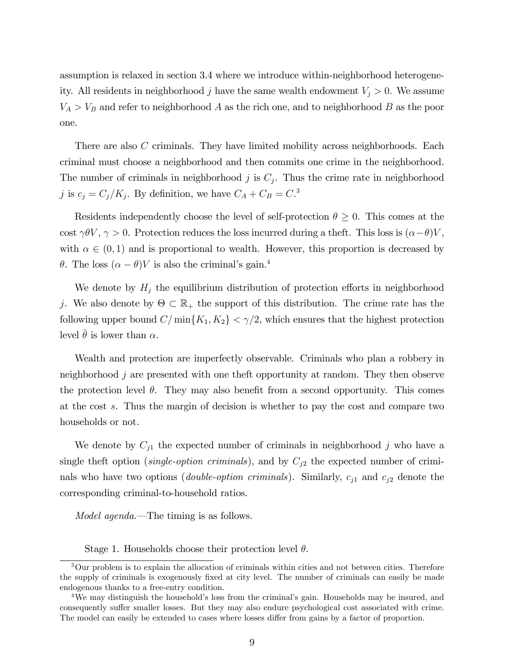assumption is relaxed in section 3.4 where we introduce within-neighborhood heterogeneity. All residents in neighborhood j have the same wealth endowment  $V_j > 0$ . We assume  $V_A > V_B$  and refer to neighborhood A as the rich one, and to neighborhood B as the poor one.

There are also C criminals. They have limited mobility across neighborhoods. Each criminal must choose a neighborhood and then commits one crime in the neighborhood. The number of criminals in neighborhood  $j$  is  $C_j$ . Thus the crime rate in neighborhood j is  $c_j = C_j/K_j$ . By definition, we have  $C_A + C_B = C<sup>3</sup>$ .

Residents independently choose the level of self-protection  $\theta \geq 0$ . This comes at the cost  $\gamma \theta V$ ,  $\gamma > 0$ . Protection reduces the loss incurred during a theft. This loss is  $(\alpha - \theta)V$ , with  $\alpha \in (0,1)$  and is proportional to wealth. However, this proportion is decreased by  $\theta$ . The loss  $(\alpha - \theta)V$  is also the criminal's gain.<sup>4</sup>

We denote by  $H_j$  the equilibrium distribution of protection efforts in neighborhood j. We also denote by  $\Theta \subset \mathbb{R}_+$  the support of this distribution. The crime rate has the following upper bound  $C/\min\{K_1, K_2\} < \gamma/2$ , which ensures that the highest protection level  $\bar{\theta}$  is lower than  $\alpha$ .

Wealth and protection are imperfectly observable. Criminals who plan a robbery in neighborhood j are presented with one theft opportunity at random. They then observe the protection level  $\theta$ . They may also benefit from a second opportunity. This comes at the cost s. Thus the margin of decision is whether to pay the cost and compare two households or not.

We denote by  $C_{j1}$  the expected number of criminals in neighborhood j who have a single theft option (single-option criminals), and by  $C_{j2}$  the expected number of criminals who have two options (*double-option criminals*). Similarly,  $c_{j1}$  and  $c_{j2}$  denote the corresponding criminal-to-household ratios.

*Model agenda.*—The timing is as follows.

Stage 1. Households choose their protection level  $\theta$ .

<sup>3</sup>Our problem is to explain the allocation of criminals within cities and not between cities. Therefore the supply of criminals is exogenously fixed at city level. The number of criminals can easily be made endogenous thanks to a free-entry condition.

<sup>&</sup>lt;sup>4</sup>We may distinguish the household's loss from the criminal's gain. Households may be insured, and consequently suffer smaller losses. But they may also endure psychological cost associated with crime. The model can easily be extended to cases where losses differ from gains by a factor of proportion.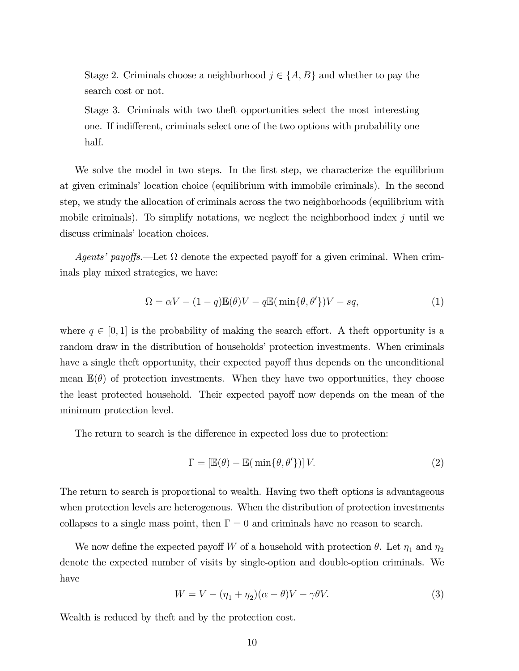Stage 2. Criminals choose a neighborhood  $j \in \{A, B\}$  and whether to pay the search cost or not.

Stage 3. Criminals with two theft opportunities select the most interesting one. If indifferent, criminals select one of the two options with probability one half.

We solve the model in two steps. In the first step, we characterize the equilibrium at given criminals' location choice (equilibrium with immobile criminals). In the second step, we study the allocation of criminals across the two neighborhoods (equilibrium with mobile criminals). To simplify notations, we neglect the neighborhood index  $j$  until we discuss criminals' location choices.

Agents' payoffs.—Let  $\Omega$  denote the expected payoff for a given criminal. When criminals play mixed strategies, we have:

$$
\Omega = \alpha V - (1 - q)\mathbb{E}(\theta)V - q\mathbb{E}(\min\{\theta, \theta'\})V - sq,
$$
\n(1)

where  $q \in [0, 1]$  is the probability of making the search effort. A theft opportunity is a random draw in the distribution of households' protection investments. When criminals have a single theft opportunity, their expected payoff thus depends on the unconditional mean  $\mathbb{E}(\theta)$  of protection investments. When they have two opportunities, they choose the least protected household. Their expected payoff now depends on the mean of the minimum protection level.

The return to search is the difference in expected loss due to protection:

$$
\Gamma = \left[ \mathbb{E}(\theta) - \mathbb{E}(\min\{\theta, \theta'\}) \right] V. \tag{2}
$$

The return to search is proportional to wealth. Having two theft options is advantageous when protection levels are heterogenous. When the distribution of protection investments collapses to a single mass point, then  $\Gamma = 0$  and criminals have no reason to search.

We now define the expected payoff W of a household with protection  $\theta$ . Let  $\eta_1$  and  $\eta_2$ denote the expected number of visits by single-option and double-option criminals. We have

$$
W = V - (\eta_1 + \eta_2)(\alpha - \theta)V - \gamma\theta V.
$$
\n(3)

Wealth is reduced by theft and by the protection cost.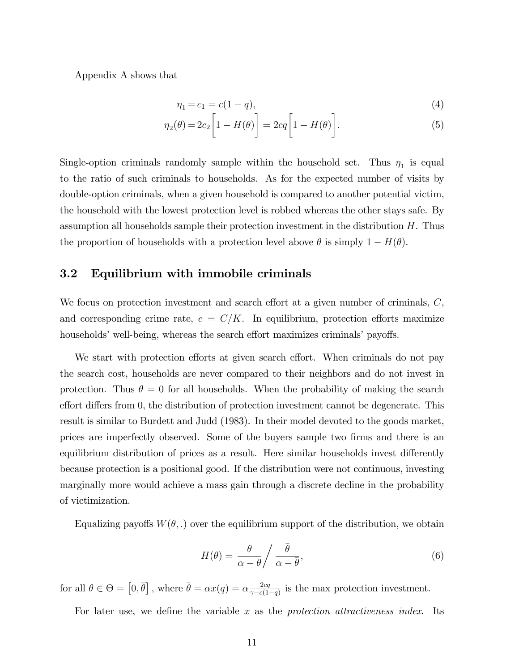Appendix A shows that

$$
\eta_1 = c_1 = c(1 - q),\tag{4}
$$

$$
\eta_2(\theta) = 2c_2 \left[ 1 - H(\theta) \right] = 2cq \left[ 1 - H(\theta) \right]. \tag{5}
$$

Single-option criminals randomly sample within the household set. Thus  $\eta_1$  is equal to the ratio of such criminals to households. As for the expected number of visits by double-option criminals, when a given household is compared to another potential victim, the household with the lowest protection level is robbed whereas the other stays safe. By assumption all households sample their protection investment in the distribution  $H$ . Thus the proportion of households with a protection level above  $\theta$  is simply  $1 - H(\theta)$ .

## 3.2 Equilibrium with immobile criminals

We focus on protection investment and search effort at a given number of criminals,  $C$ , and corresponding crime rate,  $c = C/K$ . In equilibrium, protection efforts maximize households' well-being, whereas the search effort maximizes criminals' payoffs.

We start with protection efforts at given search effort. When criminals do not pay the search cost, households are never compared to their neighbors and do not invest in protection. Thus  $\theta = 0$  for all households. When the probability of making the search effort differs from 0, the distribution of protection investment cannot be degenerate. This result is similar to Burdett and Judd (1983). In their model devoted to the goods market, prices are imperfectly observed. Some of the buyers sample two Örms and there is an equilibrium distribution of prices as a result. Here similar households invest differently because protection is a positional good. If the distribution were not continuous, investing marginally more would achieve a mass gain through a discrete decline in the probability of victimization.

Equalizing payoffs  $W(\theta,.)$  over the equilibrium support of the distribution, we obtain

$$
H(\theta) = \frac{\theta}{\alpha - \theta} / \frac{\bar{\theta}}{\alpha - \bar{\theta}},
$$
\n(6)

for all  $\theta \in \Theta = [0, \bar{\theta}]$ , where  $\bar{\theta} = \alpha x(q) = \alpha \frac{2cq}{\gamma - c(1)}$  $\frac{2cq}{\gamma - c(1-q)}$  is the max protection investment.

For later use, we define the variable  $x$  as the protection attractiveness index. Its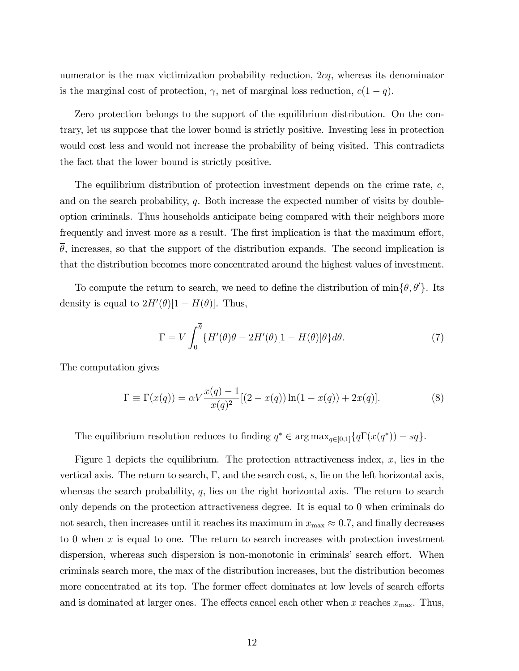numerator is the max victimization probability reduction, 2cq, whereas its denominator is the marginal cost of protection,  $\gamma$ , net of marginal loss reduction,  $c(1-q)$ .

Zero protection belongs to the support of the equilibrium distribution. On the contrary, let us suppose that the lower bound is strictly positive. Investing less in protection would cost less and would not increase the probability of being visited. This contradicts the fact that the lower bound is strictly positive.

The equilibrium distribution of protection investment depends on the crime rate,  $c$ , and on the search probability, q. Both increase the expected number of visits by doubleoption criminals. Thus households anticipate being compared with their neighbors more frequently and invest more as a result. The first implication is that the maximum effort,  $\theta$ , increases, so that the support of the distribution expands. The second implication is that the distribution becomes more concentrated around the highest values of investment.

To compute the return to search, we need to define the distribution of  $\min\{\theta, \theta'\}$ . Its density is equal to  $2H'(\theta)[1 - H(\theta)]$ . Thus,

$$
\Gamma = V \int_0^{\overline{\theta}} \{ H'(\theta)\theta - 2H'(\theta)[1 - H(\theta)]\theta \} d\theta.
$$
 (7)

The computation gives

$$
\Gamma \equiv \Gamma(x(q)) = \alpha V \frac{x(q) - 1}{x(q)^2} [(2 - x(q)) \ln(1 - x(q)) + 2x(q)].
$$
\n(8)

The equilibrium resolution reduces to finding  $q^* \in \arg \max_{q \in [0,1]} \{q \Gamma(x(q^*)) - sq\}.$ 

Figure 1 depicts the equilibrium. The protection attractiveness index, x, lies in the vertical axis. The return to search,  $\Gamma$ , and the search cost, s, lie on the left horizontal axis, whereas the search probability,  $q$ , lies on the right horizontal axis. The return to search only depends on the protection attractiveness degree. It is equal to 0 when criminals do not search, then increases until it reaches its maximum in  $x_{\text{max}} \approx 0.7$ , and finally decreases to 0 when x is equal to one. The return to search increases with protection investment dispersion, whereas such dispersion is non-monotonic in criminals' search effort. When criminals search more, the max of the distribution increases, but the distribution becomes more concentrated at its top. The former effect dominates at low levels of search efforts and is dominated at larger ones. The effects cancel each other when x reaches  $x_{\text{max}}$ . Thus,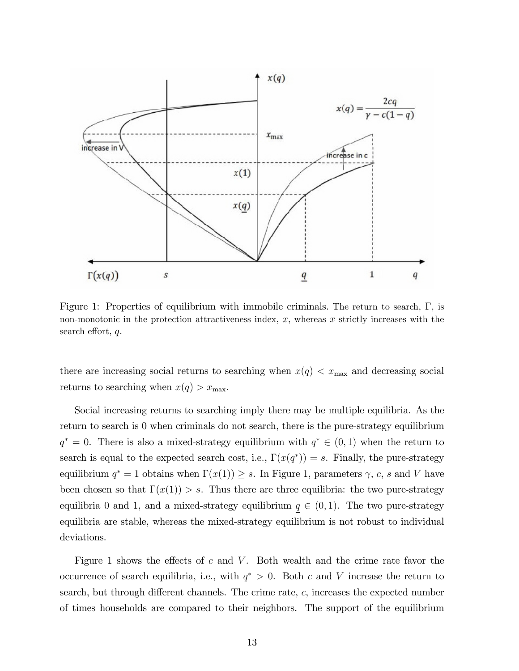

Figure 1: Properties of equilibrium with immobile criminals. The return to search,  $\Gamma$ , is non-monotonic in the protection attractiveness index,  $x$ , whereas  $x$  strictly increases with the search effort,  $q$ .

there are increasing social returns to searching when  $x(q) < x_{\text{max}}$  and decreasing social returns to searching when  $x(q) > x_{\text{max}}$ .

Social increasing returns to searching imply there may be multiple equilibria. As the return to search is 0 when criminals do not search, there is the pure-strategy equilibrium  $q^* = 0$ . There is also a mixed-strategy equilibrium with  $q^* \in (0,1)$  when the return to search is equal to the expected search cost, i.e.,  $\Gamma(x(q^*)) = s$ . Finally, the pure-strategy equilibrium  $q^* = 1$  obtains when  $\Gamma(x(1)) \geq s$ . In Figure 1, parameters  $\gamma$ , c, s and V have been chosen so that  $\Gamma(x(1)) > s$ . Thus there are three equilibria: the two pure-strategy equilibria 0 and 1, and a mixed-strategy equilibrium  $q \in (0, 1)$ . The two pure-strategy equilibria are stable, whereas the mixed-strategy equilibrium is not robust to individual deviations.

Figure 1 shows the effects of c and V. Both wealth and the crime rate favor the occurrence of search equilibria, i.e., with  $q^* > 0$ . Both c and V increase the return to search, but through different channels. The crime rate,  $c$ , increases the expected number of times households are compared to their neighbors. The support of the equilibrium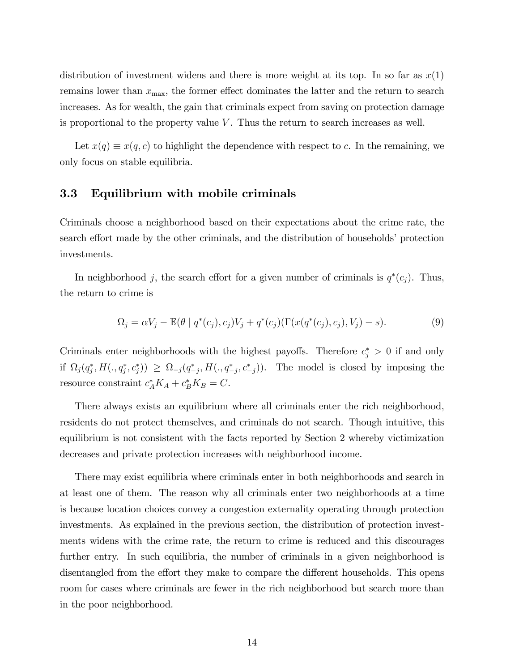distribution of investment widens and there is more weight at its top. In so far as  $x(1)$ remains lower than  $x_{\text{max}}$ , the former effect dominates the latter and the return to search increases. As for wealth, the gain that criminals expect from saving on protection damage is proportional to the property value  $V$ . Thus the return to search increases as well.

Let  $x(q) \equiv x(q, c)$  to highlight the dependence with respect to c. In the remaining, we only focus on stable equilibria.

# 3.3 Equilibrium with mobile criminals

Criminals choose a neighborhood based on their expectations about the crime rate, the search effort made by the other criminals, and the distribution of households' protection investments.

In neighborhood j, the search effort for a given number of criminals is  $q^*(c_j)$ . Thus, the return to crime is

$$
\Omega_j = \alpha V_j - \mathbb{E}(\theta \mid q^*(c_j), c_j) V_j + q^*(c_j) (\Gamma(x(q^*(c_j), c_j), V_j) - s).
$$
\n(9)

Criminals enter neighborhoods with the highest payoffs. Therefore  $c_j^* > 0$  if and only if  $\Omega_j(q_j^*, H(.,q_j^*,c_j^*)) \geq \Omega_{-j}(q_{-j}^*, H(.,q_{-j}^*,c_{-j}^*))$ . The model is closed by imposing the resource constraint  $c_A^* K_A + c_B^* K_B = C$ .

There always exists an equilibrium where all criminals enter the rich neighborhood, residents do not protect themselves, and criminals do not search. Though intuitive, this equilibrium is not consistent with the facts reported by Section 2 whereby victimization decreases and private protection increases with neighborhood income.

There may exist equilibria where criminals enter in both neighborhoods and search in at least one of them. The reason why all criminals enter two neighborhoods at a time is because location choices convey a congestion externality operating through protection investments. As explained in the previous section, the distribution of protection investments widens with the crime rate, the return to crime is reduced and this discourages further entry. In such equilibria, the number of criminals in a given neighborhood is disentangled from the effort they make to compare the different households. This opens room for cases where criminals are fewer in the rich neighborhood but search more than in the poor neighborhood.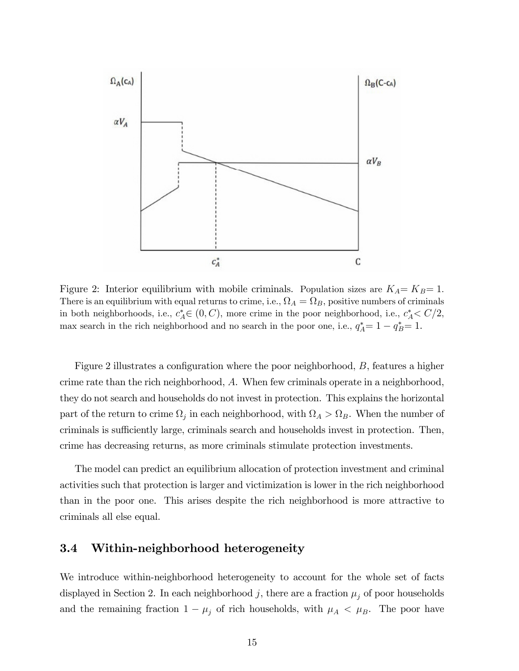

Figure 2: Interior equilibrium with mobile criminals. Population sizes are  $K_A = K_B = 1$ . There is an equilibrium with equal returns to crime, i.e.,  $\Omega_A = \Omega_B$ , positive numbers of criminals in both neighborhoods, i.e.,  $c_A^* \in (0, C)$ , more crime in the poor neighborhood, i.e.,  $c_A^* \langle C/2,$ max search in the rich neighborhood and no search in the poor one, i.e.,  $q_A^* = 1 - q_B^* = 1$ .

Figure 2 illustrates a configuration where the poor neighborhood,  $B$ , features a higher crime rate than the rich neighborhood, A. When few criminals operate in a neighborhood, they do not search and households do not invest in protection. This explains the horizontal part of the return to crime  $\Omega_j$  in each neighborhood, with  $\Omega_A > \Omega_B$ . When the number of criminals is sufficiently large, criminals search and households invest in protection. Then, crime has decreasing returns, as more criminals stimulate protection investments.

The model can predict an equilibrium allocation of protection investment and criminal activities such that protection is larger and victimization is lower in the rich neighborhood than in the poor one. This arises despite the rich neighborhood is more attractive to criminals all else equal.

# 3.4 Within-neighborhood heterogeneity

We introduce within-neighborhood heterogeneity to account for the whole set of facts displayed in Section 2. In each neighborhood j, there are a fraction  $\mu_i$  of poor households and the remaining fraction  $1 - \mu_j$  of rich households, with  $\mu_A < \mu_B$ . The poor have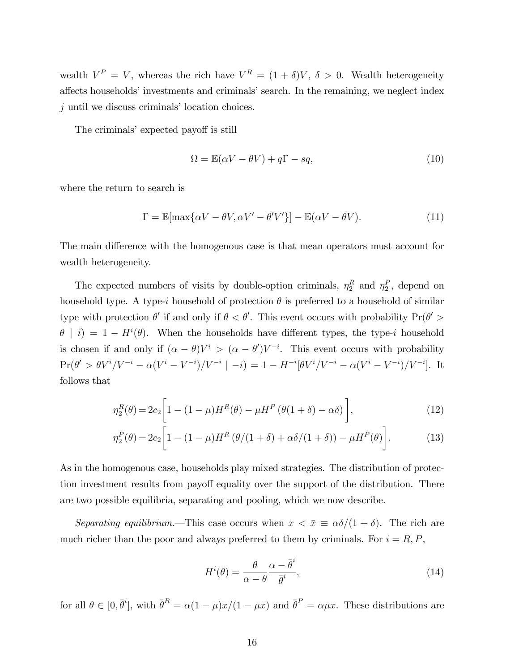wealth  $V^P = V$ , whereas the rich have  $V^R = (1 + \delta)V$ ,  $\delta > 0$ . Wealth heterogeneity affects households' investments and criminals' search. In the remaining, we neglect index  $j$  until we discuss criminals' location choices.

The criminals' expected payoff is still

$$
\Omega = \mathbb{E}(\alpha V - \theta V) + q\Gamma - sq,
$$
\n(10)

where the return to search is

$$
\Gamma = \mathbb{E}[\max\{\alpha V - \theta V, \alpha V' - \theta' V'\}] - \mathbb{E}(\alpha V - \theta V). \tag{11}
$$

The main difference with the homogenous case is that mean operators must account for wealth heterogeneity.

The expected numbers of visits by double-option criminals,  $\eta_2^R$  and  $\eta_2^P$ , depend on household type. A type-i household of protection  $\theta$  is preferred to a household of similar type with protection  $\theta'$  if and only if  $\theta < \theta'$ . This event occurs with probability  $Pr(\theta' >$  $\theta$  | i) = 1 –  $H^{i}(\theta)$ . When the households have different types, the type-i household is chosen if and only if  $(\alpha - \theta)V^i > (\alpha - \theta')V^{-i}$ . This event occurs with probability  $\Pr(\theta' > \theta V^{i}/V^{-i} - \alpha(V^{i} - V^{-i})/V^{-i} | -i) = 1 - H^{-i}[\theta V^{i}/V^{-i} - \alpha(V^{i} - V^{-i})/V^{-i}].$  It follows that

$$
\eta_2^R(\theta) = 2c_2 \bigg[ 1 - (1 - \mu)H^R(\theta) - \mu H^P(\theta(1 + \delta) - \alpha \delta) \bigg],\tag{12}
$$

$$
\eta_2^P(\theta) = 2c_2 \bigg[ 1 - (1 - \mu)H^R(\theta/(1 + \delta) + \alpha\delta/(1 + \delta)) - \mu H^P(\theta) \bigg].
$$
 (13)

As in the homogenous case, households play mixed strategies. The distribution of protection investment results from payoff equality over the support of the distribution. There are two possible equilibria, separating and pooling, which we now describe.

Separating equilibrium. This case occurs when  $x < \bar{x} \equiv \alpha \delta/(1 + \delta)$ . The rich are much richer than the poor and always preferred to them by criminals. For  $i = R, P$ ,

$$
H^{i}(\theta) = \frac{\theta}{\alpha - \theta} \frac{\alpha - \bar{\theta}^{i}}{\bar{\theta}^{i}},
$$
\n(14)

for all  $\theta \in [0, \bar{\theta}^i]$ , with  $\bar{\theta}^R = \alpha(1 - \mu)x/(1 - \mu x)$  and  $\bar{\theta}^P = \alpha \mu x$ . These distributions are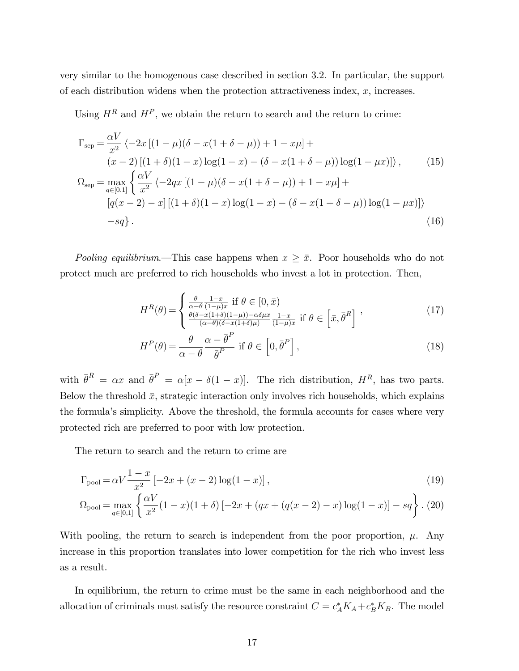very similar to the homogenous case described in section 3.2. In particular, the support of each distribution widens when the protection attractiveness index,  $x$ , increases.

Using  $H^R$  and  $H^P$ , we obtain the return to search and the return to crime:

$$
\Gamma_{\text{sep}} = \frac{\alpha V}{x^2} \left\langle -2x \left[ (1 - \mu)(\delta - x(1 + \delta - \mu)) + 1 - x\mu \right] + (x - 2) \left[ (1 + \delta)(1 - x) \log(1 - x) - (\delta - x(1 + \delta - \mu)) \log(1 - \mu x) \right] \right\rangle, \qquad (15)
$$
  

$$
\Omega_{\text{sep}} = \max_{q \in [0,1]} \left\{ \frac{\alpha V}{x^2} \left\langle -2qx \left[ (1 - \mu)(\delta - x(1 + \delta - \mu)) + 1 - x\mu \right] + (q(x - 2) - x) \left[ (1 + \delta)(1 - x) \log(1 - x) - (\delta - x(1 + \delta - \mu)) \log(1 - \mu x) \right] \right\} - sq \right\}.
$$

Pooling equilibrium.—This case happens when  $x \geq \bar{x}$ . Poor households who do not protect much are preferred to rich households who invest a lot in protection. Then,

$$
H^{R}(\theta) = \begin{cases} \frac{\theta}{\alpha - \theta} \frac{1 - x}{(1 - \mu)x} & \text{if } \theta \in [0, \bar{x})\\ \frac{\theta(\delta - x(1 + \delta)(1 - \mu)) - \alpha \delta \mu x}{(\alpha - \theta)(\delta - x(1 + \delta)\mu)} \frac{1 - x}{(1 - \mu)x} & \text{if } \theta \in \left[ \bar{x}, \bar{\theta}^{R} \right] \end{cases},\tag{17}
$$

$$
H^{P}(\theta) = \frac{\theta}{\alpha - \theta} \frac{\alpha - \bar{\theta}^{P}}{\bar{\theta}^{P}} \text{ if } \theta \in \left[0, \bar{\theta}^{P}\right],\tag{18}
$$

with  $\bar{\theta}^R = \alpha x$  and  $\bar{\theta}^P = \alpha[x - \delta(1-x)].$  The rich distribution,  $H^R$ , has two parts. Below the threshold  $\bar{x}$ , strategic interaction only involves rich households, which explains the formulaís simplicity. Above the threshold, the formula accounts for cases where very protected rich are preferred to poor with low protection.

The return to search and the return to crime are

$$
\Gamma_{\text{pool}} = \alpha V \frac{1 - x}{x^2} \left[ -2x + (x - 2) \log(1 - x) \right],\tag{19}
$$

$$
\Omega_{\text{pool}} = \max_{q \in [0,1]} \left\{ \frac{\alpha V}{x^2} (1-x)(1+\delta) \left[ -2x + (qx + (q(x-2) - x) \log(1-x) \right] - sq \right\} . (20)
$$

With pooling, the return to search is independent from the poor proportion,  $\mu$ . Any increase in this proportion translates into lower competition for the rich who invest less as a result.

In equilibrium, the return to crime must be the same in each neighborhood and the allocation of criminals must satisfy the resource constraint  $C = c_A^* K_A + c_B^* K_B$ . The model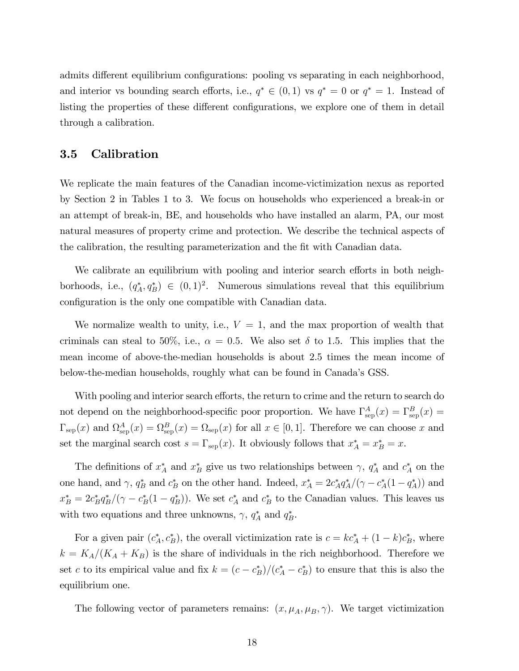admits different equilibrium configurations: pooling vs separating in each neighborhood, and interior vs bounding search efforts, i.e.,  $q^* \in (0,1)$  vs  $q^* = 0$  or  $q^* = 1$ . Instead of listing the properties of these different configurations, we explore one of them in detail through a calibration.

# 3.5 Calibration

We replicate the main features of the Canadian income-victimization nexus as reported by Section 2 in Tables 1 to 3. We focus on households who experienced a break-in or an attempt of break-in, BE, and households who have installed an alarm, PA, our most natural measures of property crime and protection. We describe the technical aspects of the calibration, the resulting parameterization and the Öt with Canadian data.

We calibrate an equilibrium with pooling and interior search efforts in both neighborhoods, i.e.,  $(q_A^*, q_B^*) \in (0, 1)^2$ . Numerous simulations reveal that this equilibrium configuration is the only one compatible with Canadian data.

We normalize wealth to unity, i.e.,  $V = 1$ , and the max proportion of wealth that criminals can steal to 50%, i.e.,  $\alpha = 0.5$ . We also set  $\delta$  to 1.5. This implies that the mean income of above-the-median households is about 2.5 times the mean income of below-the-median households, roughly what can be found in Canadaís GSS.

With pooling and interior search efforts, the return to crime and the return to search do not depend on the neighborhood-specific poor proportion. We have  $\Gamma^{A}_{\text{sep}}(x) = \Gamma^{B}_{\text{sep}}(x)$  $\Gamma_{\rm sep}(x)$  and  $\Omega_{\rm sep}^A(x) = \Omega_{\rm sep}^B(x) = \Omega_{\rm sep}(x)$  for all  $x \in [0,1]$ . Therefore we can choose x and set the marginal search cost  $s = \Gamma_{\rm sep}(x)$ . It obviously follows that  $x_A^* = x_B^* = x$ .

The definitions of  $x_A^*$  and  $x_B^*$  give us two relationships between  $\gamma$ ,  $q_A^*$  and  $c_A^*$  on the one hand, and  $\gamma$ ,  $q_B^*$  and  $c_B^*$  on the other hand. Indeed,  $x_A^* = 2c_A^* q_A^* / (\gamma - c_A^* (1 - q_A^*))$  and  $x_B^* = 2c_B^* q_B^* / (\gamma - c_B^* (1 - q_B^*))$ . We set  $c_A^*$  and  $c_B^*$  to the Canadian values. This leaves us with two equations and three unknowns,  $\gamma$ ,  $q_A^*$  and  $q_B^*$ .

For a given pair  $(c_A^*, c_B^*)$ , the overall victimization rate is  $c = kc_A^* + (1 - k)c_B^*$ , where  $k = K_A/(K_A + K_B)$  is the share of individuals in the rich neighborhood. Therefore we set c to its empirical value and fix  $k = (c - c_B^*)/(c_A^* - c_B^*)$  to ensure that this is also the equilibrium one.

The following vector of parameters remains:  $(x, \mu_A, \mu_B, \gamma)$ . We target victimization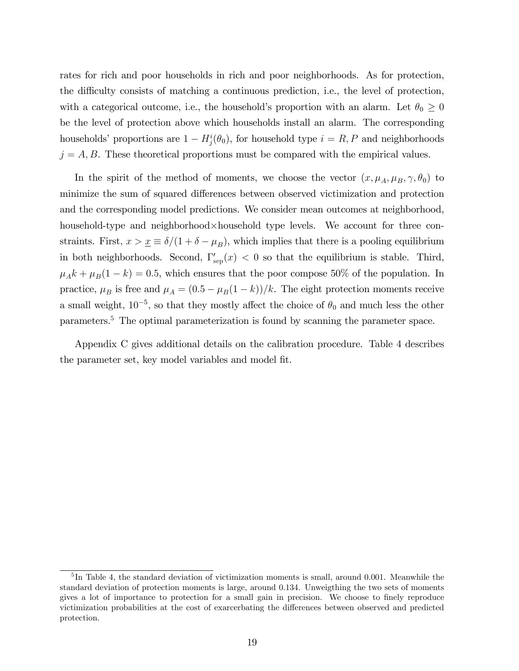rates for rich and poor households in rich and poor neighborhoods. As for protection, the difficulty consists of matching a continuous prediction, i.e., the level of protection, with a categorical outcome, i.e., the household's proportion with an alarm. Let  $\theta_0 \geq 0$ be the level of protection above which households install an alarm. The corresponding households' proportions are  $1 - H_j^i(\theta_0)$ , for household type  $i = R, P$  and neighborhoods  $j = A, B$ . These theoretical proportions must be compared with the empirical values.

In the spirit of the method of moments, we choose the vector  $(x, \mu_A, \mu_B, \gamma, \theta_0)$  to minimize the sum of squared differences between observed victimization and protection and the corresponding model predictions. We consider mean outcomes at neighborhood, household-type and neighborhood×household type levels. We account for three constraints. First,  $x > \underline{x} \equiv \delta/(1 + \delta - \mu_B)$ , which implies that there is a pooling equilibrium in both neighborhoods. Second,  $\Gamma_{\text{sep}}'(x) < 0$  so that the equilibrium is stable. Third,  $\mu_A k + \mu_B(1 - k) = 0.5$ , which ensures that the poor compose 50% of the population. In practice,  $\mu_B$  is free and  $\mu_A = (0.5 - \mu_B(1 - k))/k$ . The eight protection moments receive a small weight,  $10^{-5}$ , so that they mostly affect the choice of  $\theta_0$  and much less the other parameters.<sup>5</sup> The optimal parameterization is found by scanning the parameter space.

Appendix C gives additional details on the calibration procedure. Table 4 describes the parameter set, key model variables and model Öt.

<sup>&</sup>lt;sup>5</sup>In Table 4, the standard deviation of victimization moments is small, around 0.001. Meanwhile the standard deviation of protection moments is large, around 0.134. Unweigthing the two sets of moments gives a lot of importance to protection for a small gain in precision. We choose to finely reproduce victimization probabilities at the cost of exarcerbating the differences between observed and predicted protection.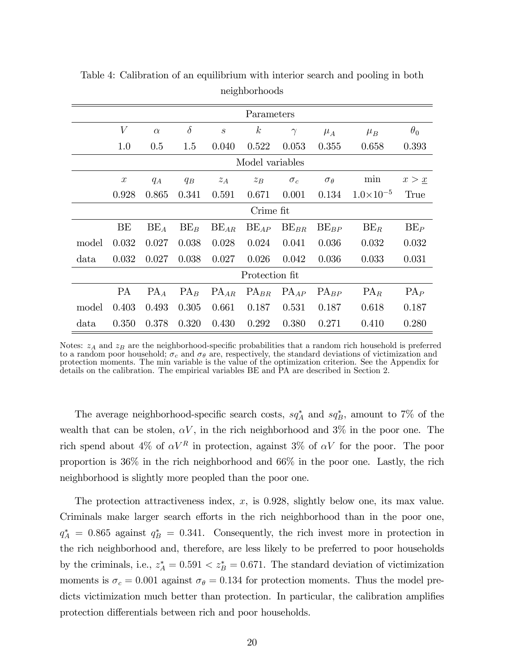|       | Parameters       |          |          |                             |                  |            |                   |                    |                     |  |
|-------|------------------|----------|----------|-----------------------------|------------------|------------|-------------------|--------------------|---------------------|--|
|       | $\boldsymbol{V}$ | $\alpha$ | $\delta$ | $\mathcal{S}_{\mathcal{S}}$ | $\boldsymbol{k}$ | $\gamma$   | $\mu_A$           | $\mu_B$            | $\theta_0$          |  |
|       | 1.0              | 0.5      | 1.5      | 0.040                       | 0.522            | 0.053      | 0.355             | 0.658              | 0.393               |  |
|       | Model variables  |          |          |                             |                  |            |                   |                    |                     |  |
|       | $\boldsymbol{x}$ | $q_A$    | $q_B$    | $z_A$                       | $z_B$            | $\sigma_c$ | $\sigma_{\theta}$ | min                | $x > \underline{x}$ |  |
|       | 0.928            | 0.865    | 0.341    | 0.591                       | 0.671            | 0.001      | 0.134             | $1.0\times10^{-5}$ | True                |  |
|       | Crime fit        |          |          |                             |                  |            |                   |                    |                     |  |
|       | BE               | $BE_A$   | $BE_B$   | $BE_{AR}$                   | $BE_{AP}$        | $BE_{BR}$  | $BE_{BP}$         | $BE_R$             | $BE_P$              |  |
| model | 0.032            | 0.027    | 0.038    | 0.028                       | 0.024            | 0.041      | 0.036             | 0.032              | 0.032               |  |
| data  | 0.032            | 0.027    | 0.038    | 0.027                       | 0.026            | 0.042      | 0.036             | 0.033              | 0.031               |  |
|       | Protection fit   |          |          |                             |                  |            |                   |                    |                     |  |
|       | <b>PA</b>        | $PA_A$   | $PA_B$   | $PA_{AR}$                   | $PA_{BR}$        | $PA_{AP}$  | $PA_{BP}$         | $PA_R$             | $PA_P$              |  |
| model | 0.403            | 0.493    | 0.305    | 0.661                       | 0.187            | 0.531      | 0.187             | 0.618              | 0.187               |  |
| data  | 0.350            | 0.378    | 0.320    | 0.430                       | 0.292            | 0.380      | 0.271             | 0.410              | 0.280               |  |

Table 4: Calibration of an equilibrium with interior search and pooling in both neighborhoods

Notes:  $z_A$  and  $z_B$  are the neighborhood-specific probabilities that a random rich household is preferred to a random poor household;  $\sigma_c$  and  $\sigma_\theta$  are, respectively, the standard deviations of victimization and protection moments. The min variable is the value of the optimization criterion. See the Appendix for details on the calibration. The empirical variables BE and PA are described in Section 2.

The average neighborhood-specific search costs,  $sq_A^*$  and  $sq_B^*$ , amount to 7% of the wealth that can be stolen,  $\alpha V$ , in the rich neighborhood and 3% in the poor one. The rich spend about 4% of  $\alpha V^R$  in protection, against 3% of  $\alpha V$  for the poor. The poor proportion is 36% in the rich neighborhood and 66% in the poor one. Lastly, the rich neighborhood is slightly more peopled than the poor one.

The protection attractiveness index,  $x$ , is 0.928, slightly below one, its max value. Criminals make larger search efforts in the rich neighborhood than in the poor one,  $q_A^* = 0.865$  against  $q_B^* = 0.341$ . Consequently, the rich invest more in protection in the rich neighborhood and, therefore, are less likely to be preferred to poor households by the criminals, i.e.,  $z_A^* = 0.591 < z_B^* = 0.671$ . The standard deviation of victimization moments is  $\sigma_c = 0.001$  against  $\sigma_{\theta} = 0.134$  for protection moments. Thus the model predicts victimization much better than protection. In particular, the calibration amplifies protection differentials between rich and poor households.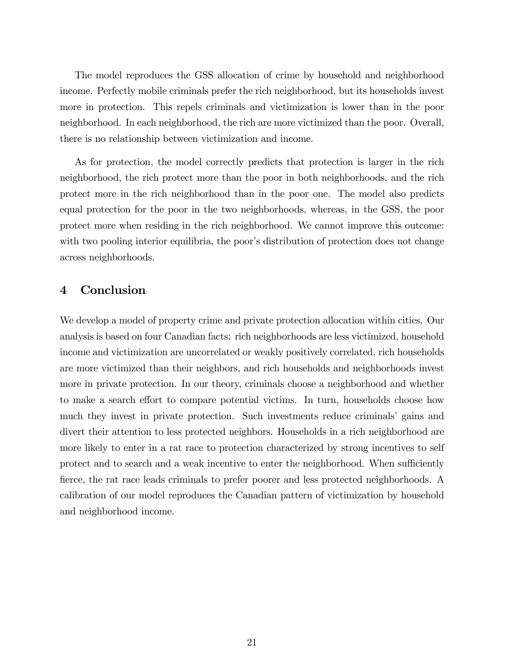The model reproduces the GSS allocation of crime by household and neighborhood income. Perfectly mobile criminals prefer the rich neighborhood, but its households invest more in protection. This repels criminals and victimization is lower than in the poor neighborhood. In each neighborhood, the rich are more victimized than the poor. Overall, there is no relationship between victimization and income.

As for protection, the model correctly predicts that protection is larger in the rich neighborhood, the rich protect more than the poor in both neighborhoods, and the rich protect more in the rich neighborhood than in the poor one. The model also predicts equal protection for the poor in the two neighborhoods, whereas, in the GSS, the poor protect more when residing in the rich neighborhood. We cannot improve this outcome: with two pooling interior equilibria, the poor's distribution of protection does not change across neighborhoods.

## 4 Conclusion

We develop a model of property crime and private protection allocation within cities. Our analysis is based on four Canadian facts: rich neighborhoods are less victimized, household income and victimization are uncorrelated or weakly positively correlated, rich households are more victimized than their neighbors, and rich households and neighborhoods invest more in private protection. In our theory, criminals choose a neighborhood and whether to make a search effort to compare potential victims. In turn, households choose how much they invest in private protection. Such investments reduce criminals gains and divert their attention to less protected neighbors. Households in a rich neighborhood are more likely to enter in a rat race to protection characterized by strong incentives to self protect and to search and a weak incentive to enter the neighborhood. When sufficiently fierce, the rat race leads criminals to prefer poorer and less protected neighborhoods. A calibration of our model reproduces the Canadian pattern of victimization by household and neighborhood income.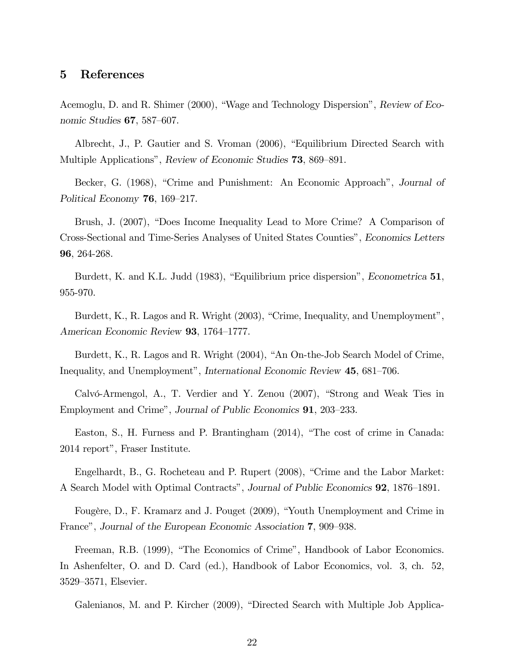# 5 References

Acemoglu, D. and R. Shimer (2000), "Wage and Technology Dispersion", Review of Economic Studies  $67,587-607$ .

Albrecht, J., P. Gautier and S. Vroman (2006), "Equilibrium Directed Search with Multiple Applications", Review of Economic Studies 73, 869–891.

Becker, G. (1968), "Crime and Punishment: An Economic Approach", Journal of Political Economy  $76, 169-217.$ 

Brush, J. (2007), "Does Income Inequality Lead to More Crime? A Comparison of Cross-Sectional and Time-Series Analyses of United States Countiesî, Economics Letters 96, 264-268.

Burdett, K. and K.L. Judd (1983), "Equilibrium price dispersion", Econometrica 51, 955-970.

Burdett, K., R. Lagos and R. Wright (2003), "Crime, Inequality, and Unemployment", American Economic Review 93, 1764–1777.

Burdett, K., R. Lagos and R. Wright (2004), "An On-the-Job Search Model of Crime, Inequality, and Unemployment", International Economic Review 45, 681–706.

Calvó-Armengol, A., T. Verdier and Y. Zenou  $(2007)$ , "Strong and Weak Ties in Employment and Crime", Journal of Public Economics 91, 203–233.

Easton, S., H. Furness and P. Brantingham  $(2014)$ , "The cost of crime in Canada: 2014 report", Fraser Institute.

Engelhardt, B., G. Rocheteau and P. Rupert (2008), "Crime and the Labor Market: A Search Model with Optimal Contracts", Journal of Public Economics **92**, 1876–1891.

Fougère, D., F. Kramarz and J. Pouget (2009), "Youth Unemployment and Crime in France", Journal of the European Economic Association 7, 909–938.

Freeman, R.B. (1999), "The Economics of Crime", Handbook of Labor Economics. In Ashenfelter, O. and D. Card (ed.), Handbook of Labor Economics, vol. 3, ch. 52, 3529–3571, Elsevier.

Galenianos, M. and P. Kircher (2009), "Directed Search with Multiple Job Applica-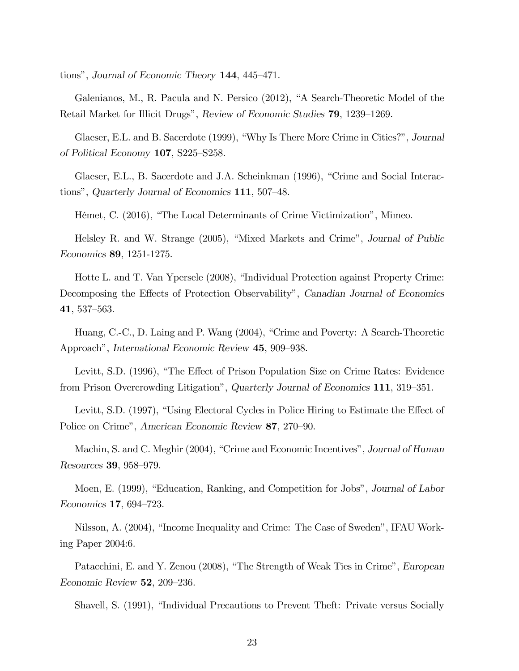tions", Journal of Economic Theory  $144$ ,  $445-471$ .

Galenianos, M., R. Pacula and N. Persico  $(2012)$ , "A Search-Theoretic Model of the Retail Market for Illicit Drugs", Review of Economic Studies 79, 1239–1269.

Glaeser, E.L. and B. Sacerdote (1999), "Why Is There More Crime in Cities?", Journal of Political Economy  $107$ , S225–S258.

Glaeser, E.L., B. Sacerdote and J.A. Scheinkman (1996), "Crime and Social Interactions", Quarterly Journal of Economics  $111$ , 507–48.

Hémet, C. (2016), "The Local Determinants of Crime Victimization", Mimeo.

Helsley R. and W. Strange (2005), "Mixed Markets and Crime", Journal of Public Economics 89, 1251-1275.

Hotte L. and T. Van Ypersele (2008), "Individual Protection against Property Crime: Decomposing the Effects of Protection Observability", Canadian Journal of Economics  $41,537–563.$ 

Huang, C.-C., D. Laing and P. Wang (2004), "Crime and Poverty: A Search-Theoretic Approach", International Economic Review 45, 909–938.

Levitt, S.D. (1996), "The Effect of Prison Population Size on Crime Rates: Evidence from Prison Overcrowding Litigation", Quarterly Journal of Economics 111, 319–351.

Levitt, S.D. (1997), "Using Electoral Cycles in Police Hiring to Estimate the Effect of Police on Crime", American Economic Review 87, 270–90.

Machin, S. and C. Meghir (2004), "Crime and Economic Incentives", Journal of Human Resources 39, 958-979.

Moen, E. (1999), "Education, Ranking, and Competition for Jobs", Journal of Labor Economics  $17,694-723$ .

Nilsson, A. (2004), "Income Inequality and Crime: The Case of Sweden", IFAU Working Paper 2004:6.

Patacchini, E. and Y. Zenou (2008), "The Strength of Weak Ties in Crime", European Economic Review  $52$ , 209–236.

Shavell, S. (1991), "Individual Precautions to Prevent Theft: Private versus Socially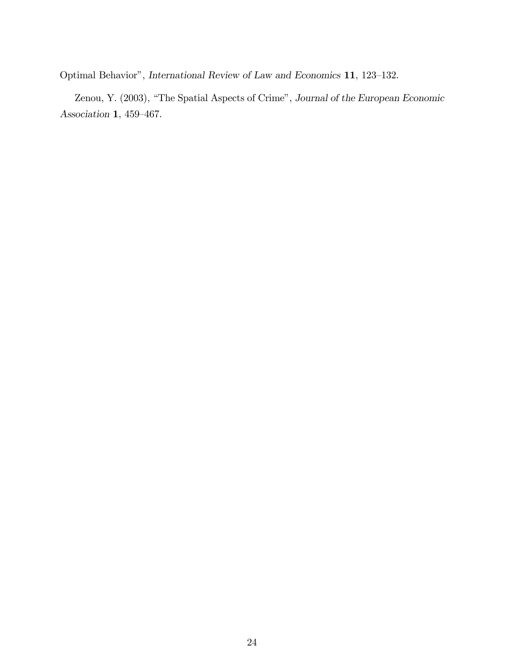Optimal Behavior", International Review of Law and Economics 11, 123-132.

Zenou, Y. (2003), "The Spatial Aspects of Crime", Journal of the European Economic Association 1, 459-467.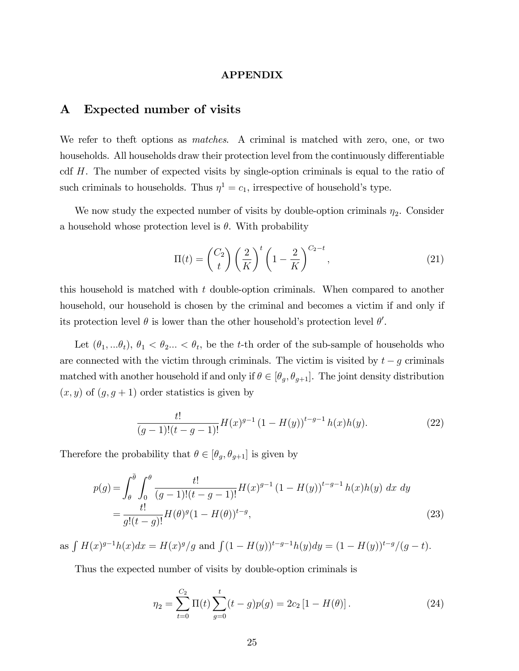#### APPENDIX

# A Expected number of visits

We refer to theft options as *matches*. A criminal is matched with zero, one, or two households. All households draw their protection level from the continuously differentiable cdf H. The number of expected visits by single-option criminals is equal to the ratio of such criminals to households. Thus  $\eta^1 = c_1$ , irrespective of household's type.

We now study the expected number of visits by double-option criminals  $\eta_2$ . Consider a household whose protection level is  $\theta$ . With probability

$$
\Pi(t) = \binom{C_2}{t} \left(\frac{2}{K}\right)^t \left(1 - \frac{2}{K}\right)^{C_2 - t},\tag{21}
$$

this household is matched with  $t$  double-option criminals. When compared to another household, our household is chosen by the criminal and becomes a victim if and only if its protection level  $\theta$  is lower than the other household's protection level  $\theta'$ .

Let  $(\theta_1, \ldots \theta_t), \theta_1 < \theta_2 \ldots < \theta_t$ , be the t-th order of the sub-sample of households who are connected with the victim through criminals. The victim is visited by  $t - g$  criminals matched with another household if and only if  $\theta \in [\theta_g, \theta_{g+1}]$ . The joint density distribution  $(x, y)$  of  $(g, g + 1)$  order statistics is given by

$$
\frac{t!}{(g-1)!(t-g-1)!}H(x)^{g-1}(1-H(y))^{t-g-1}h(x)h(y).
$$
 (22)

Therefore the probability that  $\theta \in [\theta_g, \theta_{g+1}]$  is given by

$$
p(g) = \int_{\theta}^{\overline{\theta}} \int_{0}^{\theta} \frac{t!}{(g-1)!(t-g-1)!} H(x)^{g-1} (1 - H(y))^{t-g-1} h(x)h(y) dx dy
$$
  
= 
$$
\frac{t!}{g!(t-g)!} H(\theta)^{g} (1 - H(\theta))^{t-g},
$$
 (23)

as  $\int H(x)^{g-1}h(x)dx = H(x)^{g}/g$  and  $\int (1 - H(y))^{t-g-1}h(y)dy = (1 - H(y))^{t-g}/(g - t)$ .

Thus the expected number of visits by double-option criminals is

$$
\eta_2 = \sum_{t=0}^{C_2} \Pi(t) \sum_{g=0}^t (t - g) p(g) = 2c_2 [1 - H(\theta)]. \tag{24}
$$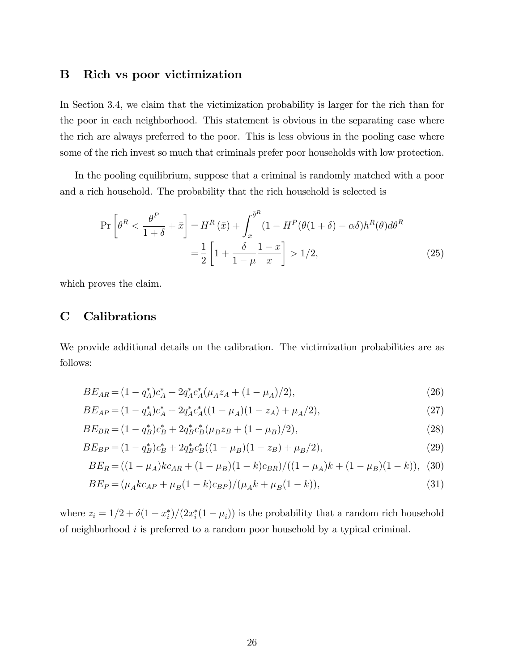#### B Rich vs poor victimization

In Section 3.4, we claim that the victimization probability is larger for the rich than for the poor in each neighborhood. This statement is obvious in the separating case where the rich are always preferred to the poor. This is less obvious in the pooling case where some of the rich invest so much that criminals prefer poor households with low protection.

In the pooling equilibrium, suppose that a criminal is randomly matched with a poor and a rich household. The probability that the rich household is selected is

$$
\Pr\left[\theta^R < \frac{\theta^P}{1+\delta} + \bar{x}\right] = H^R\left(\bar{x}\right) + \int_{\bar{x}}^{\bar{\theta}^R} (1 - H^P(\theta(1+\delta) - \alpha\delta)h^R(\theta)d\theta^R
$$
\n
$$
= \frac{1}{2}\left[1 + \frac{\delta}{1-\mu}\frac{1-x}{x}\right] > 1/2,\tag{25}
$$

which proves the claim.

# C Calibrations

We provide additional details on the calibration. The victimization probabilities are as follows:

$$
BE_{AR} = (1 - q_A^*)c_A^* + 2q_A^*c_A^*(\mu_A z_A + (1 - \mu_A)/2), \tag{26}
$$

$$
BE_{AP} = (1 - q_A^*)c_A^* + 2q_A^*c_A^*((1 - \mu_A)(1 - z_A) + \mu_A/2), \tag{27}
$$

$$
BE_{BR} = (1 - q_B^*)c_B^* + 2q_B^*c_B^*(\mu_B z_B + (1 - \mu_B)/2),\tag{28}
$$

$$
BE_{BP} = (1 - q_B^*)c_B^* + 2q_B^*c_B^*((1 - \mu_B)(1 - z_B) + \mu_B/2),\tag{29}
$$

$$
BE_R = ((1 - \mu_A)kc_{AR} + (1 - \mu_B)(1 - k)c_{BR})/((1 - \mu_A)k + (1 - \mu_B)(1 - k)),
$$
 (30)

$$
BE_P = (\mu_A k c_{AP} + \mu_B (1 - k) c_{BP}) / (\mu_A k + \mu_B (1 - k)),
$$
\n(31)

where  $z_i = 1/2 + \delta(1 - x_i^*)/(2x_i^*(1 - \mu_i))$  is the probability that a random rich household of neighborhood i is preferred to a random poor household by a typical criminal.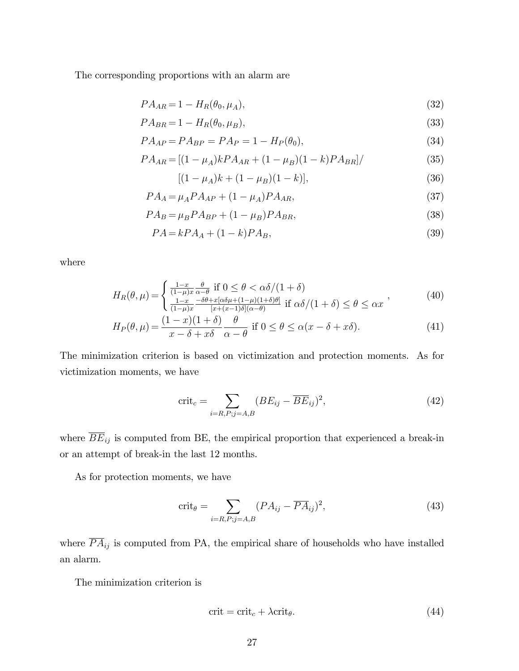The corresponding proportions with an alarm are

$$
PA_{AR} = 1 - H_R(\theta_0, \mu_A),
$$
\n(32)

$$
PA_{BR} = 1 - H_R(\theta_0, \mu_B),
$$
\n(33)

$$
PA_{AP} = PA_{BP} = PA_P = 1 - H_P(\theta_0),
$$
\n(34)

$$
PA_{AR} = [(1 - \mu_A)kPA_{AR} + (1 - \mu_B)(1 - k)PA_{BR}]/ \tag{35}
$$

$$
[(1 - \mu_A)k + (1 - \mu_B)(1 - k)], \tag{36}
$$

$$
PA_A = \mu_A P A_{AP} + (1 - \mu_A) P A_{AR},\tag{37}
$$

$$
PA_B = \mu_B P A_{BP} + (1 - \mu_B) P A_{BR},\tag{38}
$$

$$
PA = kPAA + (1 - k)PAB, \t\t(39)
$$

where

$$
H_R(\theta,\mu) = \begin{cases} \frac{1-x}{(1-\mu)x} \frac{\theta}{\alpha-\theta} & \text{if } 0 \le \theta < \alpha\delta/(1+\delta) \\ \frac{1-x}{(1-\mu)x} \frac{-\delta\theta + x[\alpha\delta\mu + (1-\mu)(1+\delta)\theta]}{[x+(x-1)\delta](\alpha-\theta)} & \text{if } \alpha\delta/(1+\delta) \le \theta \le \alpha x \end{cases} \tag{40}
$$

$$
H_P(\theta, \mu) = \frac{(1-x)(1+\delta)}{x-\delta+x\delta} \frac{\theta}{\alpha-\theta} \text{ if } 0 \le \theta \le \alpha(x-\delta+x\delta). \tag{41}
$$

The minimization criterion is based on victimization and protection moments. As for victimization moments, we have

$$
\text{crit}_c = \sum_{i=R, P; j=A, B} (BE_{ij} - \overline{BE}_{ij})^2,
$$
\n(42)

where  $\overline{BE}_{ij}$  is computed from BE, the empirical proportion that experienced a break-in or an attempt of break-in the last 12 months.

As for protection moments, we have

$$
\text{crit}_{\theta} = \sum_{i=R, P; j=A, B} (PA_{ij} - \overline{PA}_{ij})^2,
$$
\n(43)

where  $\overline{PA}_{ij}$  is computed from PA, the empirical share of households who have installed an alarm.

The minimization criterion is

$$
crit = crit_c + \lambda crit_{\theta}.
$$
\n(44)